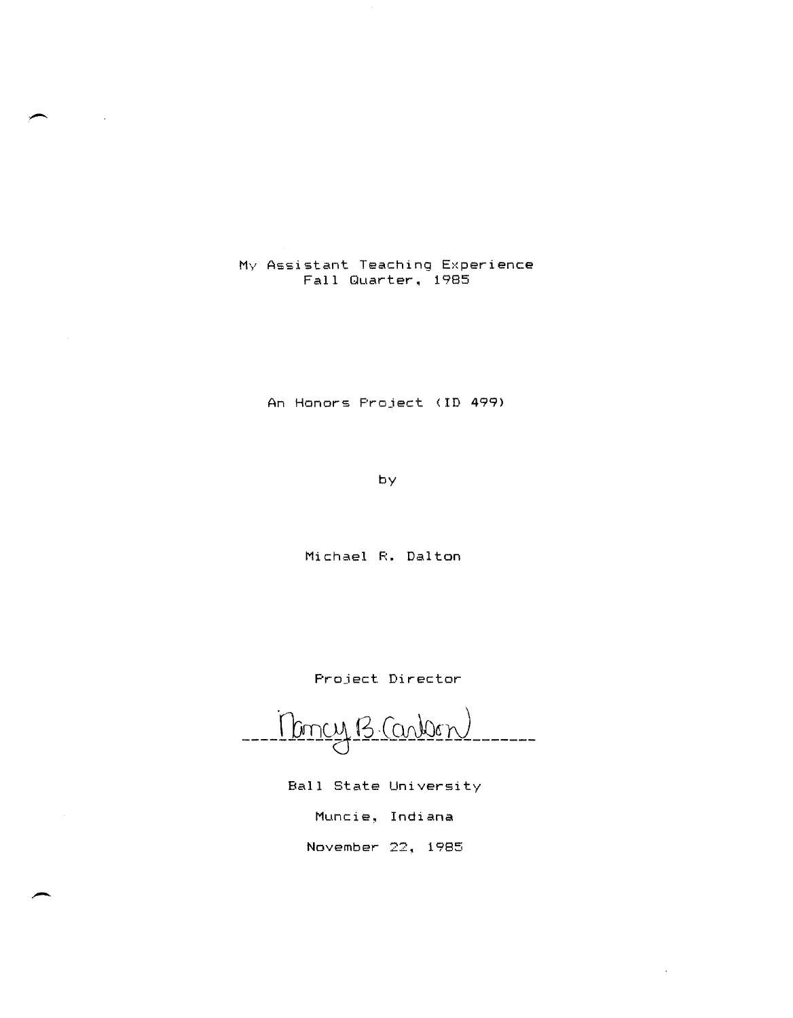My Assistant Teaching Experience Fall Quarter. 1985

An Honors Project (10 499)

by

Michael R. Dalton

Project Director

Moncy B. Carbon

Ball State University

Muncie, Indiana

November 22. 1985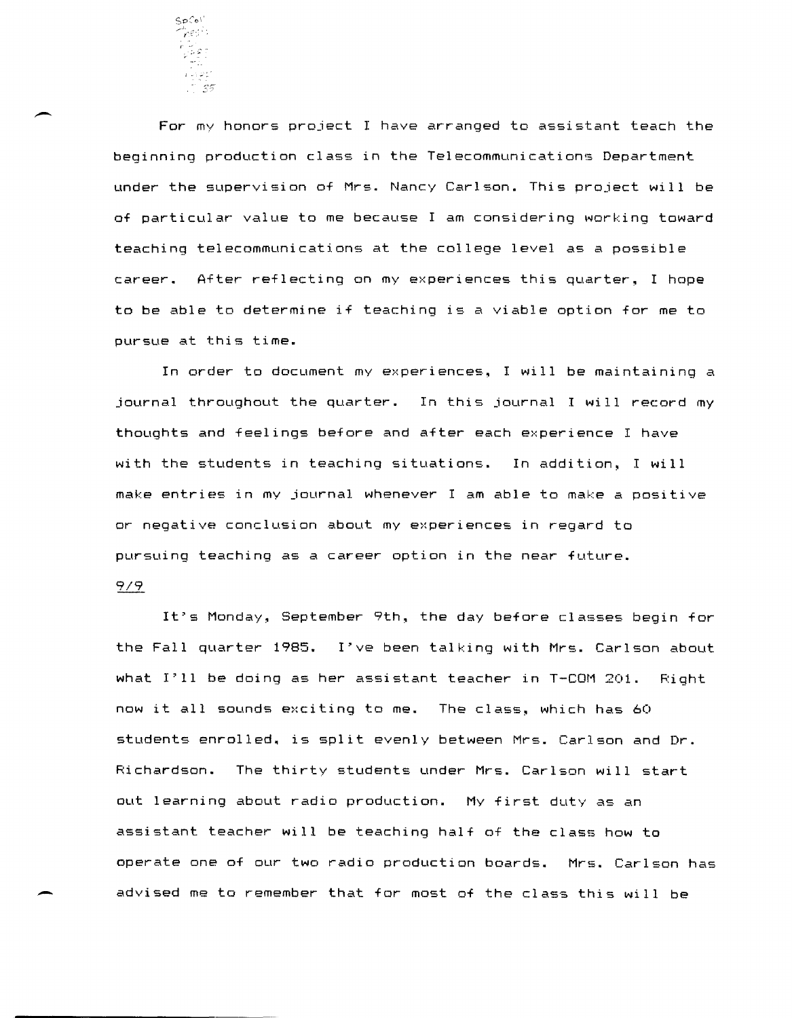

 $\hat{F}^{\beta\beta\gamma}$  - For my honors project I have arranged to assistant teach the beginning production class in the Telecommunications Department under the supervision of Mrs. Nancy Carlson. This project will be of particular value to me because I am considering working toward teaching telecommunications at the college level as a possible career. After reflecting on my experiences this quarter, I hope to be able to determine if teaching is a viable option for me to pursue at this time.

In order to document my experiences, I will be maintaining a journal throughout the quarter. In this journal I will record my thoughts and feelings before and after each experience I have with the students in teaching situations. In addition~ I will make entries in my journal whenever I am able to make a positive or negative conclusion about my experiences in regard to pursuing teaching as a career option in the near future.

### 9/9

It's Monday, September 9th, the day before classes begin for the Fall quarter 1985. I've been talking with Mrs. Carlson about what I'll be doing as her assistant teacher in T-COM 201. Right now it all sounds exciting to me. The class, which has 60 students enrolled. is split evenly between Mrs. Carlson and Dr. Richardson. The thirty students under Mrs. Carlson will start out learning about radio production. My first duty as an assistant teacher will be teaching half of the class how to operate one of our two radio production boards. Mrs. Carlson has - advised me to remember that for most of the class this will be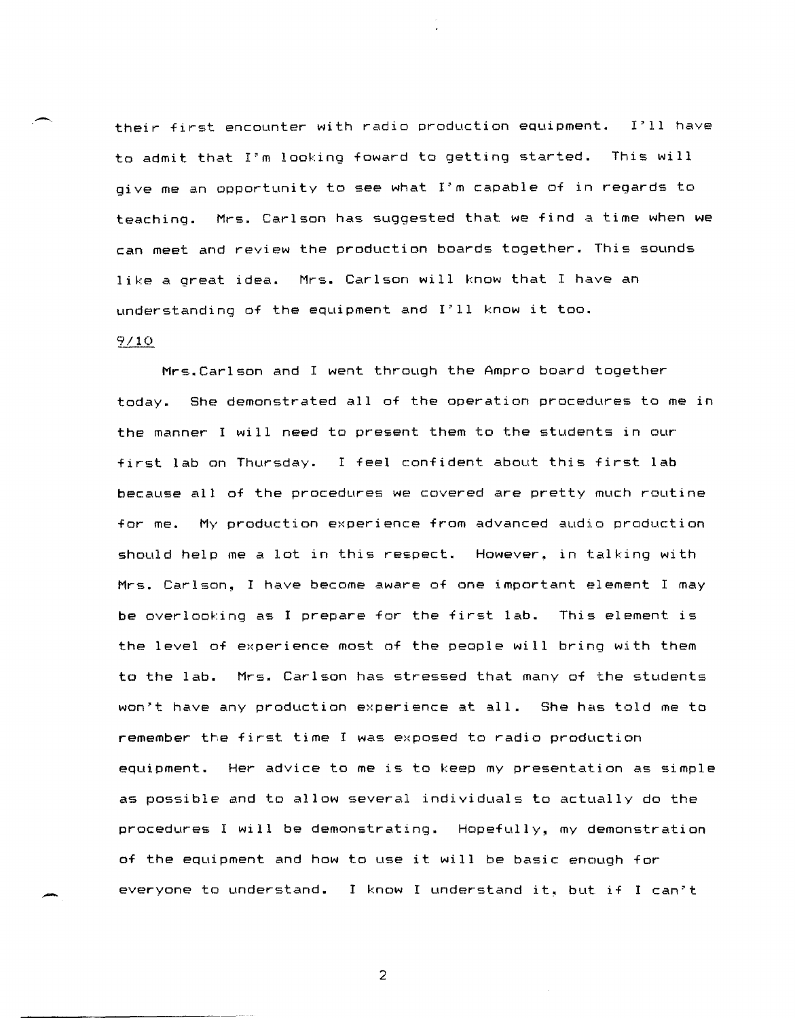their first encounter with radio production equipment. I'll have to admit that I'm looking foward to getting started. This will give me an opportunity to see what I'm capable of in regards to teaching. Mrs. Carlson has suggested that we find a time when we can meet and review the production boards together. This sounds like a great idea. Mrs. Carlson will know that I have an understanding of the equipment and I'll know it too.

#### 9/10

-

Mrs.Carlson and I went through the Ampro board together today. She demonstrated all of the operation procedures to me in the manner I will need to present them to the students in our first lab on Thursday. I feel confident about this first lab because all of the procedures we covered are pretty much routine for me. My production experience from advanced audio production should help me a lot in this respect. However, in talking with Mrs. Carlson, I have become aware of one important element I may be overlooking as I prepare for the first lab. This element is the level of experience most of the people will bring with them to the lab. Mrs. Carlson has stressed that many of the students won't have any production experience at all. She has told me to remember the first time I was exposed to radio production equipment. Her advice to me is to keep my presentation as simple as possible and to allow several individuals to actually do the procedures I will be demonstrating. Hopefully~ my demonstration of the equipment and how to use it will be basic enough for everyone to understand. I know I understand it, but if I can't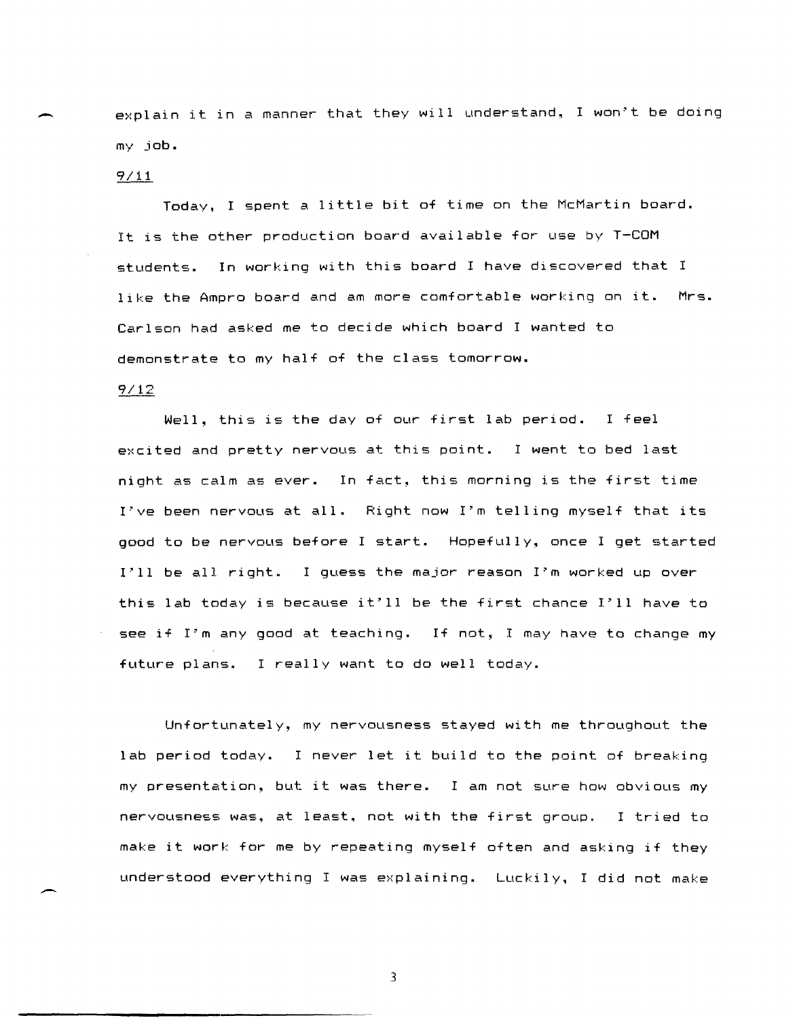explain it in a manner that they will understand, I won't be doing my job.

#### $9/11.$

Today, I spent a little bit of time on the McMartin board. It is the other production board available for use by T-COM students. In working with this board I have discovered that I like the Ampro board and am more comfortable working on it. Mrs. Carlson had asked me to decide which board I wanted to demonstrate to my half of the class tomorrow.

# $9/12$

Well, this is the day of our first lab period. I feel excited and pretty nervous at this point. I went to bed last night as calm as ever. In fact, this morning is the first time I've been nervous at all. Right now I'm telling myself that its good to be nervous before I start. Hopefully, once I get started I'll be all right. I guess the major reason I'm worked up over this lab today is because it'll be the first chance I'll have to see if I'm any good at teaching. If not, I may have to change my future plans. I really want to do well today.

Unfortunately~ my nervousness stayed with me throughout the lab period today. I never let it build to the point of breaking my presentation~ but it was there. I am not sure how obvious my nervousness was, at least, not with the first group. I tried to make it work for me by repeating myself often and asking if they understood everything I was explaining. Luckily, I did not make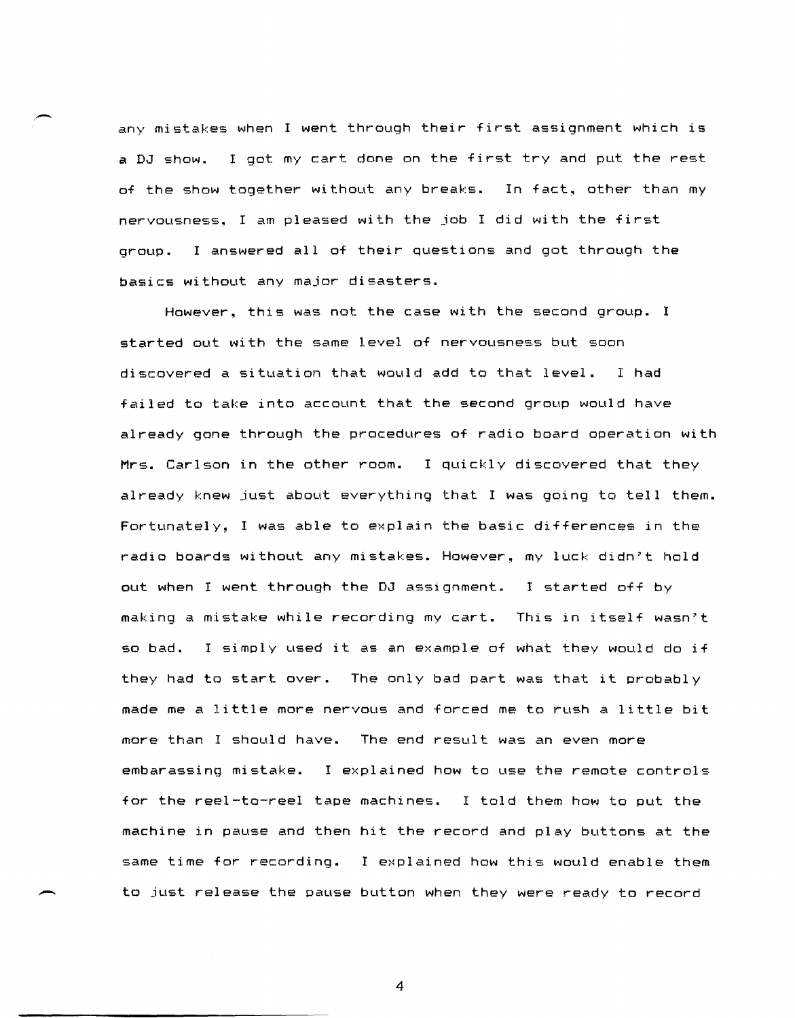any mistakes when I went through their first assignment which is a DJ show. I got my cart done on the first try and put the rest of the show together without any breaks. In fact, other than my nervousness. I am pleased with the job I did with the first group. I answered all of their questions and got through the basics without any major disasters.

,-

-

However, this was not the case with the second group. I started out with the same level of nervousness but soon discovered a situation that would add to that level. I had failed to take into account that the second group would have already gone through the procedures of radio board operation with Mrs. Carlson in the other room. I quickly discovered that they already knew just about everything that I was going to tell them. Fortunately, I was able to explain the basic differences in the radio boards without any mistakes. However, my luck didn't hold out when I went through the DJ assignment. I started off by making a mistake while recording my cart. This in itself wasn't so bad. I simply used it as an example of what they would do if they had to start over. The only bad part was that it probably made me a little more nervous and forced me to rush a little bit more than I should have. The end result was an even more embarassing mistake. I explained how to use the remote controls for the reel-to-reel tape machines. I told them how to put the machine in pause and then hit the record and play buttons at the same time for recording. I explained how this would enable them to just release the pause button when they were ready to record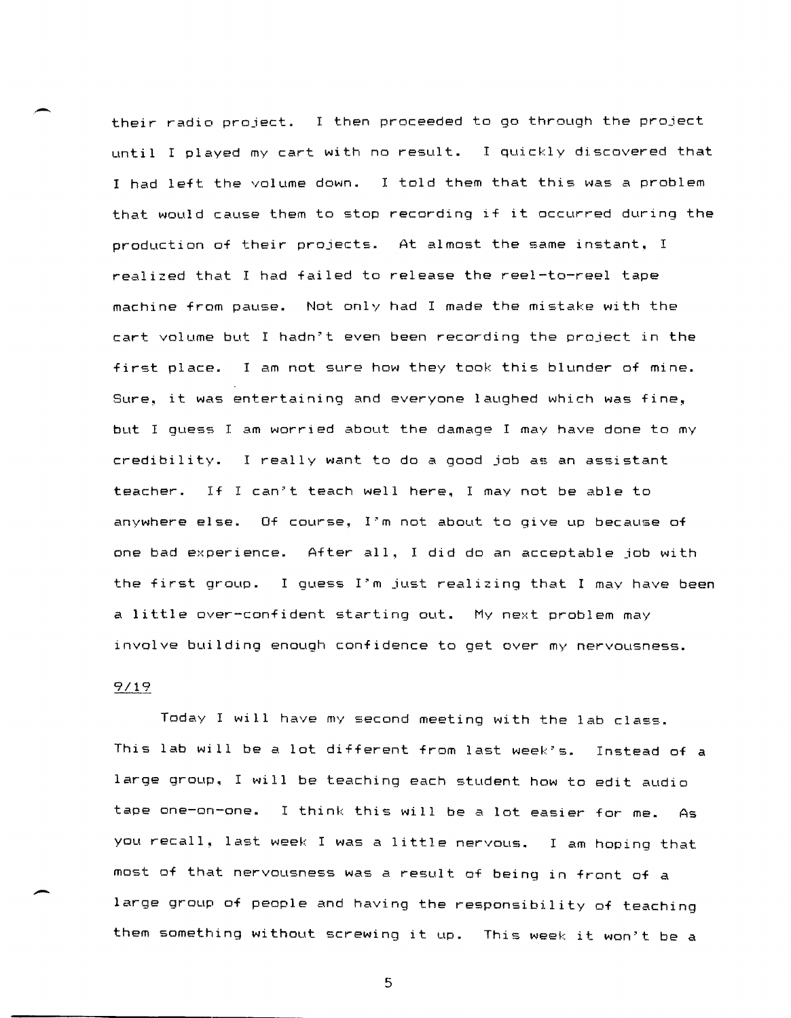their radio project. I then proceeded to go through the project until I played my cart with no result. I quickly discovered that I had left the volume down. I told them that this was a problem that would cause them to stop recording if it occurred during the production of their projects. At almost the same instant, I ~ealized that I had failed to ~elease the ~eel-to-~eel tape machine from pause. Not only had I made the mistake with the cart volume but I hadn't even been recording the project in the first place. I am not sure how they took this blunder of mine. Sure, it was entertaining and everyone laughed which was fine, but I quess I am worried about the damage I may have done to my credibility. I really want to do a good job as an assistant teacher. If I can't teach well here. I may not be able to anywhere else. Of course, I'm not about to give up because of one bad experience. After all, I did do an acceptable job with the first group. I guess I'm just realizing that I may have been a little over-confident starting out. My next problem may involve building enough confidence to get ove~ my ne~vousness.

# $9/19$

-

.-

Today I will have my second meeting with the lab class. This lab will be a lot different from last week's. Instead of a large group, I will be teaching each student how to edit audio tape one-on-one. I think this will be a lot easier for me. As you recall, last week I was a little nervous. I am hoping that most of that nervousness was a result of being in front of a large group of people and having the responsibility of teaching them something without screwing it up. This week it won't be a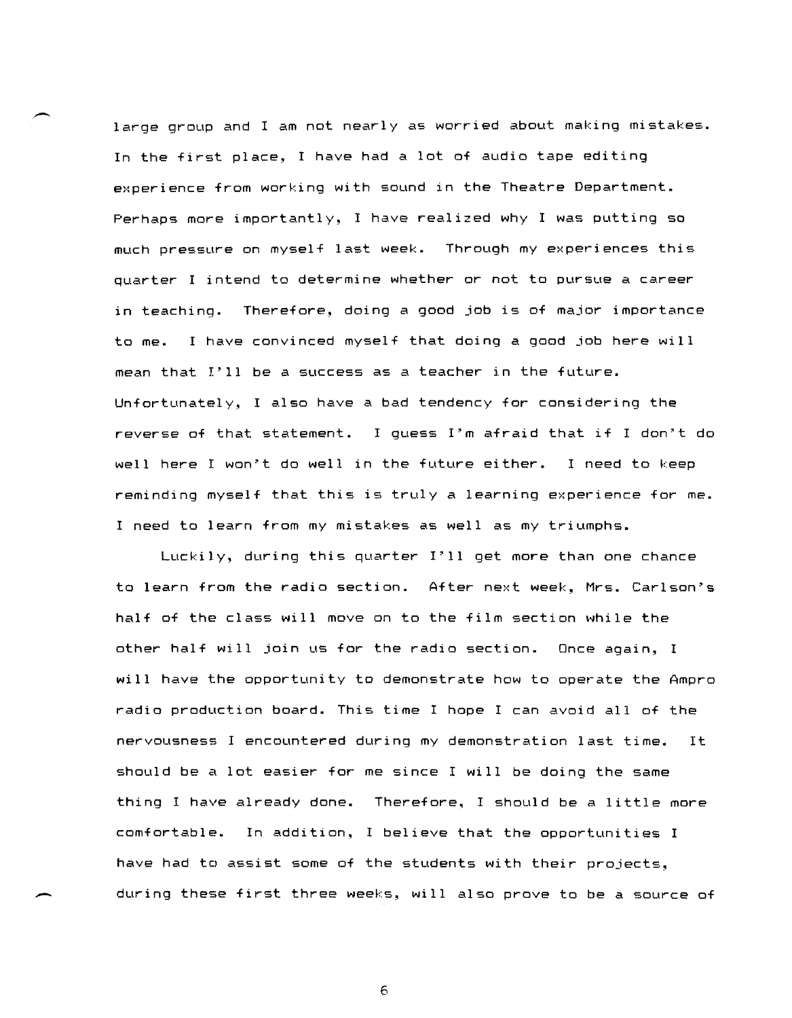large group and I am not nearly as worried about making mistakes. In the first place, I have had a lot of audio tape editing experience from working with sound in the Theatre Department. Perhaps more importantly, I have realized why I was putting so much pressure on myself last week. Through my experiences this quarter I intend to determine whether or not to pursue a career in teaching. Therefore, doing a good job is of major importance to me. I have convinced myself that doing a good job here will mean that I'll be a success as a teacher in the future. Unfortunately, I also have a bad tendency for considering the reverse of that statement. I guess I'm afraid that if I don't do well here I won't do well in the future either. I need to keep reminding myself that this is truly a learning experience for me. I need to learn from my mistakes as well as my triumphs.

Luckily, during this quarter I'll get more than one chance to learn from the radio section. After next week, Mrs. Carlson's half of the class will move on to the film section while the other half will join us for the radio section. Once again, I will have the opportunity to demonstrate how to operate the Ampro radio production board. This time I hope I can avoid all of the nervousness I encountered during my demonstration last time. It should be a lot easier for me since I will be doing the same thing I have already done. Therefore. I should be a little more comfortable. In addition, I believe that the opportunities I have had to assist some of the students with their projects. during these first three weeks, will also prove to be a source of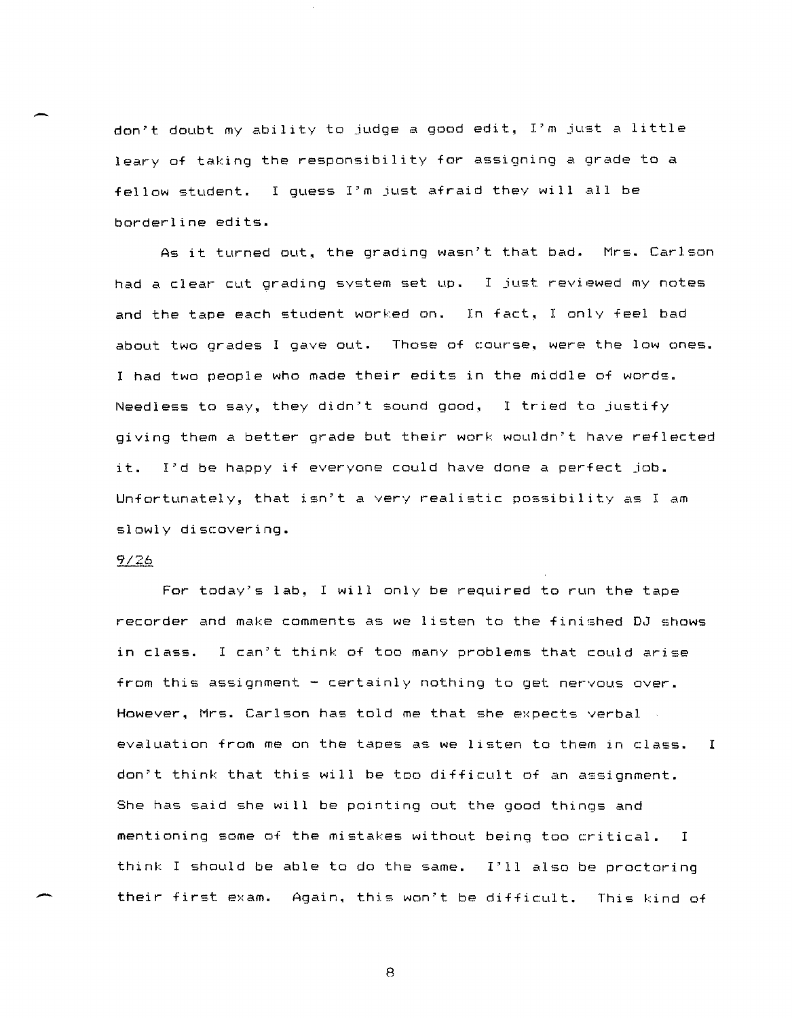don't doubt my ability to judge a good edit, I'm just a little leary of taking the responsibility for assigning a grade to a fellow student. I guess I'm just afraid they will all be borderline edits.

As it turned out~ the grading wasn't that bad. Mrs. Carlson had a clear cut grading system set up. I just reviewed my notes and the tape each student worked on. In fact, I only feel bad about two grades I gave out. Those of course, were the low ones. I had two people who made their edits in the middle of words. Needless to say, they didn't sound good, I tried to justify giving them a better grade but their work wouldn"t have reflected it. I'd be happy if everyone could have done a perfect job. Unfortunately, that isn't a very realistic possibility as I am slowly discovering.

#### $9/26$

-

-

For today"s lab, I will only be required to run the tape recorder and make comments as we listen to the finished DJ shows in class. I can"t think of too many problems that could arise from this assignment - certainly nothing to get nervous over. However. Mrs. Carlson has told me that she expects verbal evaluation from me on the tapes as we listen to them in class. I don"t think that this will be too difficult of an assignment. She has said she will be pointing out the good things and mentioning some of the mistakes without being too critical. I think I should be able to do the same. 1"11 also be proctoring their first exam. Again. this won't be difficult. This kind of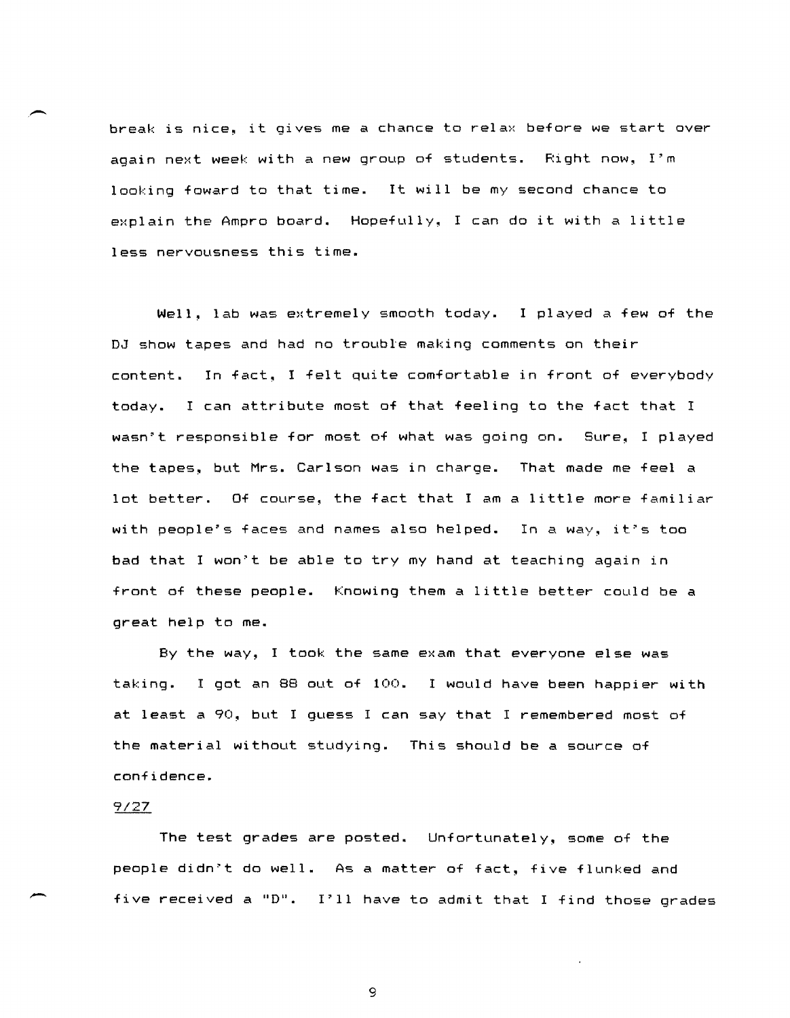break is nice, it gives me a chance to relax before we start over again next week with a new group of students. Right now, I'm looking foward to that time. It will be my second chance to explain the Ampro board. Hopefully, I can do it with a little less nervousness this time.

Well, lab was extremely smooth today. I played a few of the DJ show tapes and had no trouble making comments on their content. In fact, I felt quite comfortable in front of everybody today. I can attribute most of that feeling to the fact that I wasn't responsible for most of what was going on. Sure, I played the tapes, but Mrs. Carlson was in charge. That made me feel a lot better. Of course, the fact that I am a little more familiar with people's faces and names also helped. In a way, it's too bad that I won't be able to try my hand at teaching again in front of these people. Knowing them a little better could be a great help to me.

By the way, I took the same exam that everyone else was taking. I got an 88 out of 100. I would have been happier with at least a 90, but I guess I can say that I remembered most of the material without studying. This should be a source of confidence.

# 9/27

-

,-

The test grades are posted. Unfortunately, some of the people didn't do well. As a matter of fact, five flunked and five recei ved a "D". I'll have to admit that I find those grades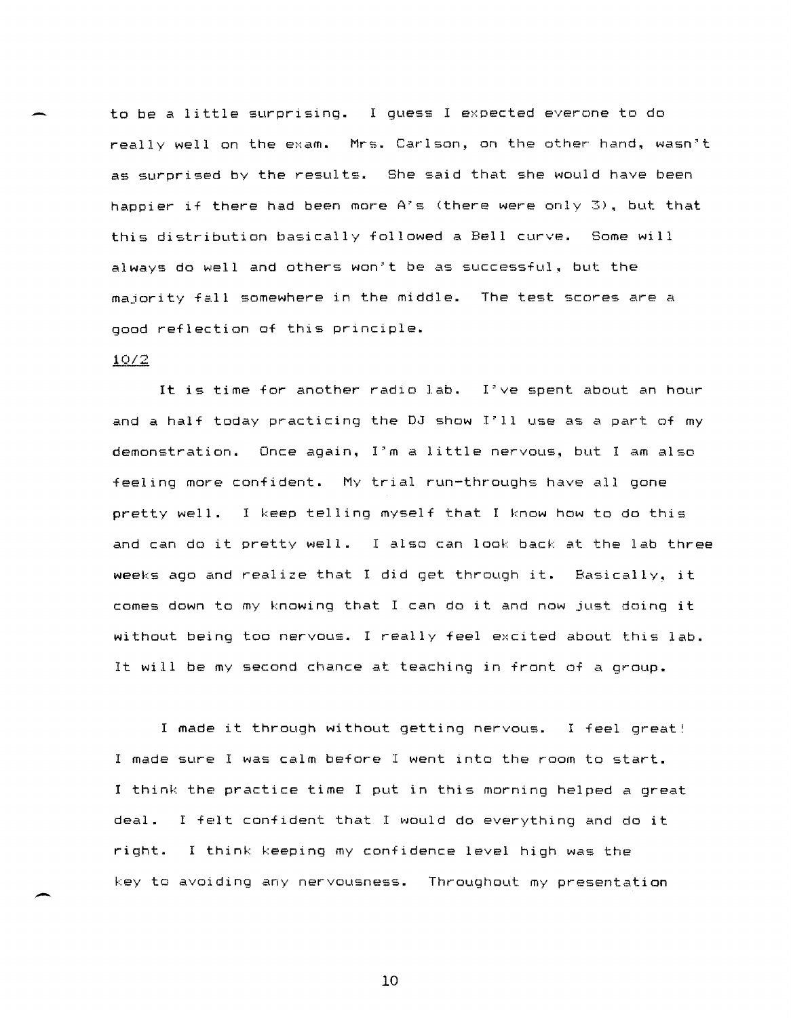to be a little surprising. I guess I expected everone to do really well on the exam. Mrs. Carlson, on the other hand, wasn't as surprised by the results. She said that she would have been happier if there had been more A's (there were only 3). but that this distribution basically followed a Bell curve. Some will always do well and others won't be as successful. but the majority fall somewhere in the middle. The test scores are a good reflection of this principle.

# 10/2

-

-

It is time for another radio lab. I've spent about an hour and a half today practicing the DJ show I'll use as a part of my demonstration. Once again~ I'm a little nervous. but I am also feeling more confident. My trial run-throughs have all gone pretty well. I keep telling myself that I know how to do this and can do it pretty well. I also can look back at the lab three weeks ago and realize that I did get through it. Basically, it comes down to my knowing that I can do it and now just doing it without being too nervous. I really feel excited about this lab. It will be my second chance at teaching in front of a group.

I made it through without getting nervous. I feel great! I made sure I was calm before I went into the room to start. I think the practice time I put in this morning helped a great deal. I felt confident that I would do everything and do it right. I think keeping my confidence level high was the key to avoiding any nervousness. Throughout my presentation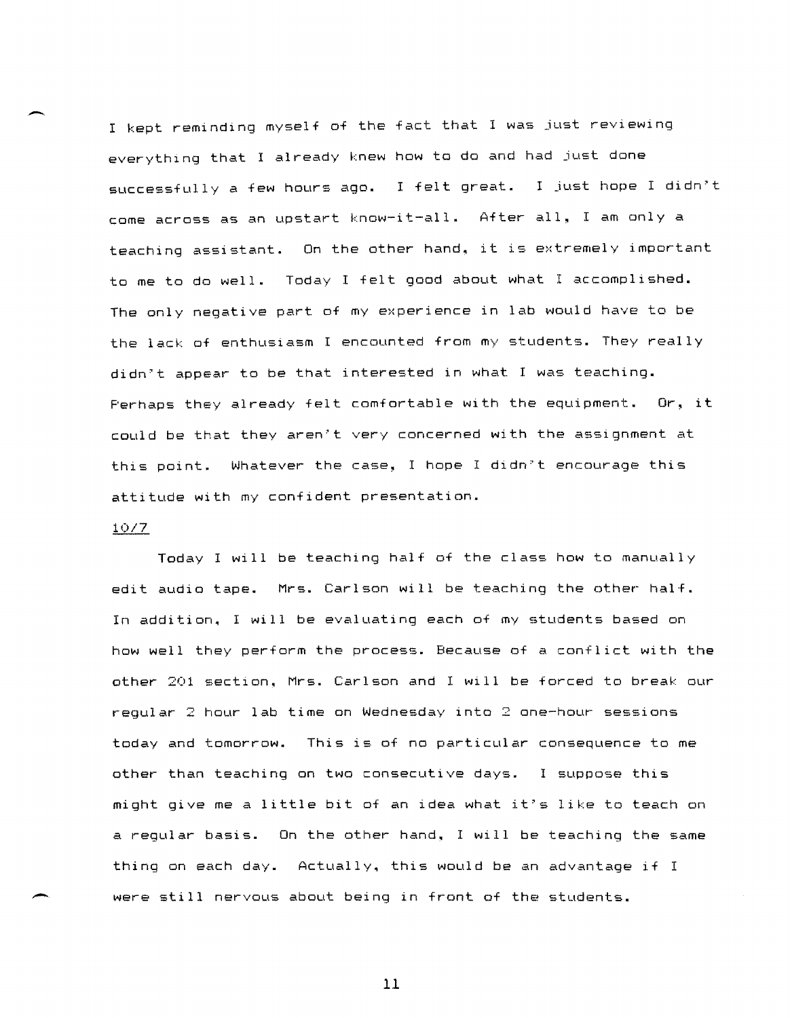I kept reminding myself of the fact that I was just reviewing everything that I already knew how to do and had just done successfully a few hours ago. I felt great. I just hope I didn't come across as an upstart know-it-all. After all, I am only a teaching assistant. On the other hand. it is extremely important to me to do well. Today I felt good about what I accomplished. The only negative part of my experience in lab would have to be the lack of enthusiasm I encounted from my students. They really didn't appear to be that interested in what I was teaching. Perhaps they already felt comfortable with the equipment. Or, it could be that they aren't very concerned with the assignment at this point. Whatever the case, I hope I didn't encourage this attitude with my confident presentation.

### 10/7

 $\overline{\phantom{0}}$ 

--

Today I will be teaching half of the class how to manually edit audio tape. Mrs. Carlson will be teaching the other half. In addition. I will be evaluating each of my students based on how well they perform the process. Because of a conflict with the other 201 section. Mrs. Carlson and I will be forced to break our regular 2 hour lab time on Wednesday into 2 one-hour sessions today and tomorrow. This is of no particular consequence to me other than teaching on two consecutive days. I suppose this might give me a little bit of an idea what it's like to teach on a regular basis. On the other hand. I will be teaching the same thing on each day. Actually. this would be an advantage if I were still nervous about being in front of the students.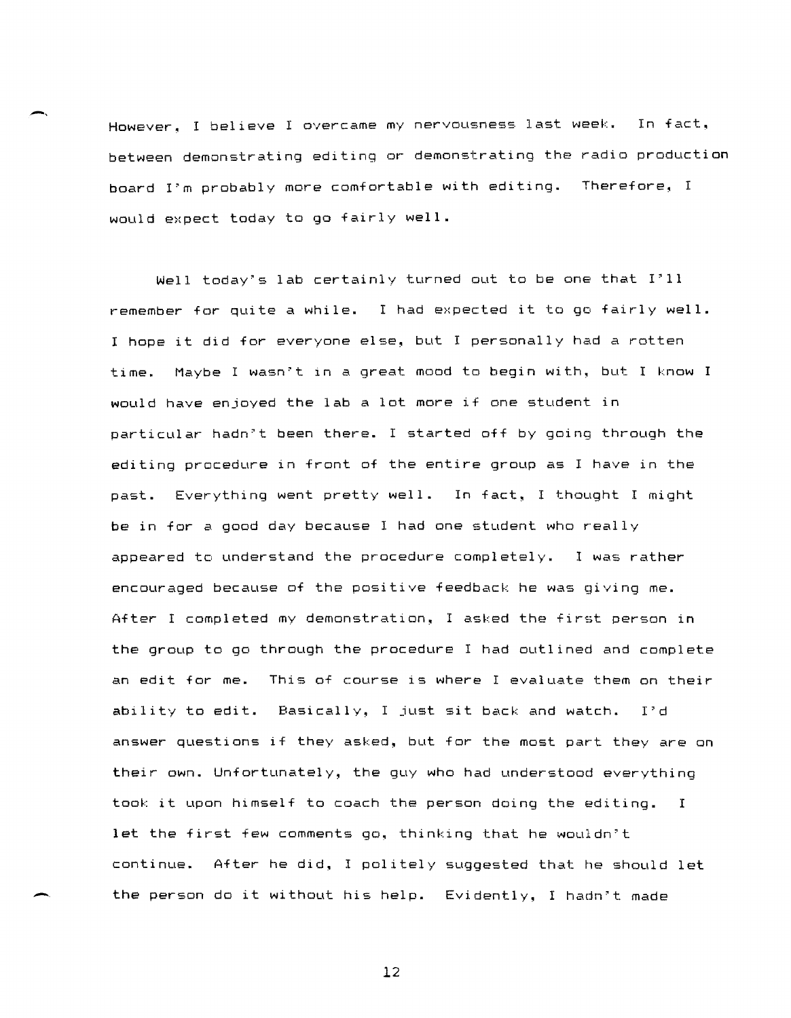However, I believe I overcame my nervousness last week. In fact, between demonstrating editing or demonstrating the radio production board I'm probably more comfortable with editing. Therefore, I would expect today to go fairly well.

Well today's lab certainly turned out to be one that I'll remember for quite a while. I had expected it to go fairly well. I hope it did for everyone else, but I personally had a rotten time. Maybe I wasn't in a great mood to begin with, but I know I would have enjoyed the lab a lot more if one student in particular hadn't been there. I started off by going through the editing procedure in front of the entire group as I have in the past. Everything went pretty well. In fact, I thought I might be in for a good day because I had one student who really appeared to understand the procedure completely. I was rather encouraged because of the positive feedback he was giving me. After I completed my demonstration, I asked the first person in the group to go through the procedure I had outlined and complete an edit for me. This of course is where I evaluate them on their ability to edit. Basically, I just sit back and watch. I'd answer questions if they asked, but for the most part they are on their own. Unfortunately, the guy who had understood everything took it upon himself to coach the person doing the editing. I let the first few comments go, thinking that he wouldn't continue. After he did, I politely suggested that he should let the person do it without his help. Evidently, I hadn't made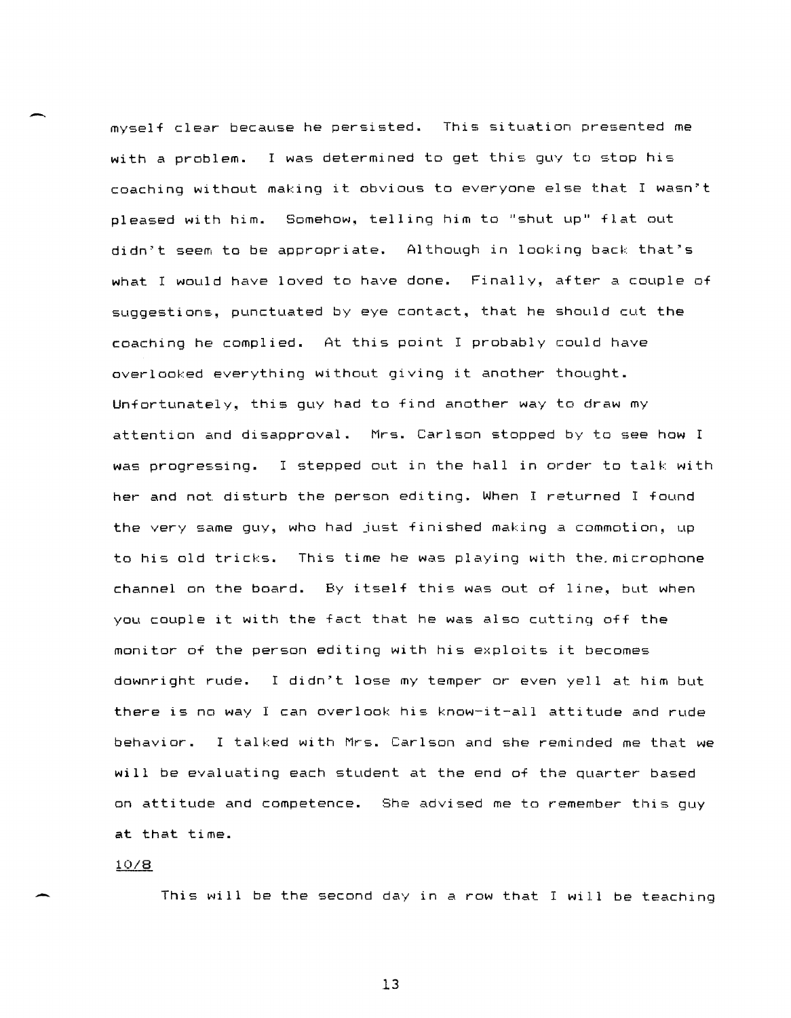myself clear because he persisted. This situation presented me with a problem. I was determined to get this guy to stop his coaching without making it obvious to everyone else that I wasn"t pleased with him. Somehow, telling him to "shut up" flat out didn't seem to be appropriate. Although in looking back that's what I would have loved to have done. Finally, after a couple of suggestions, punctuated by eye contact, that he should cut the coaching he complied. At this point I probably could have overlooked everything without giving it another thought. Unfortunately~ this guy had to find another way to draw my attention and disapproval. Mrs. Carlson stopped by to see how I was progressing. I stepped out in the hall in order to talk with her and nat disturb the person editing. When I returned I found the very same guy, who had just finished making a commotion, up to his old tricks. This time he was playing with the. microphone channel on the board. By itself this was out of line, but when you couple it with the fact that he was also cutting off the monitor of the person editing with his exploits it becomes downright rude. I didn't lose my temper or even yell at him but there is no way I can overlook his know-it-all attitude and rude behavior. I talked with Mrs. Carlson and she reminded me that we will be evaluating each student at the end of the quarter based on attitude and competence. She advised me to remember this guy at that time.

## 10/8

-.

.-

This will be the second day in a row that I will be teaching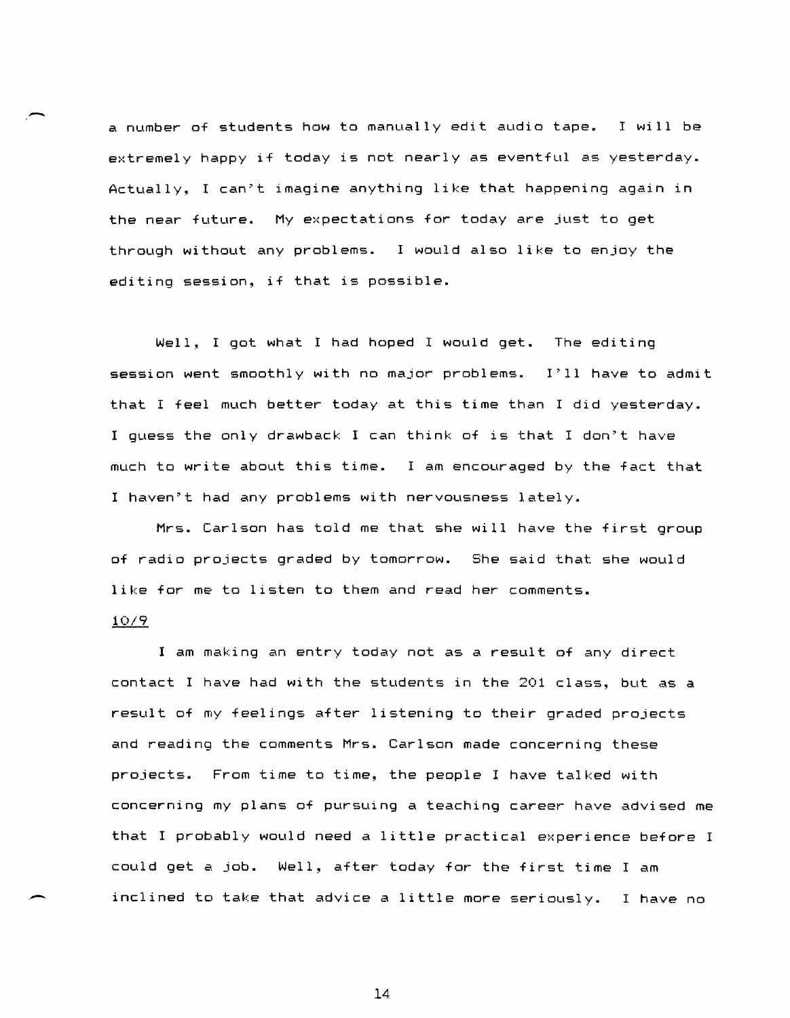a number of students how to manually edit audio tape. I will be extremely happy if today is not nearly as eventful as yesterday. Actually~ I can"t imagine anything like that happening again in the near future. My expectations for today are just to get through without any problems. I would also like to enjoy the editing session, if that is possible.

Well, I got what I had hoped I would get. The editing session went smoothly with no major problems. 1"11 have to admit that I feel much better today at this time than I did yesterday. I guess the only drawback I can think of is that I don"t have much to write about this time. I am encouraged by the fact that I haven"t had any problems with nervousness lately.

Mrs. Carlson has told me that she will have the first group of radio projects graded by tomorrow. She said that she would like for me to listen to them and read her comments.

#### 10/9

I am making an entry today not as a result of any direct contact I have had with the students in the 201 class, but as a result of my feelings after listening to their graded projects and reading the comments Mrs. Carlson made concerning these projects. From time to time~ the people I have talked with concerning my plans of pursuing a teaching career have advised me that I probably would need a little practical experience before I could get a job. Well, after today for the first time I am inclined to take that advice a little more seriously. I have no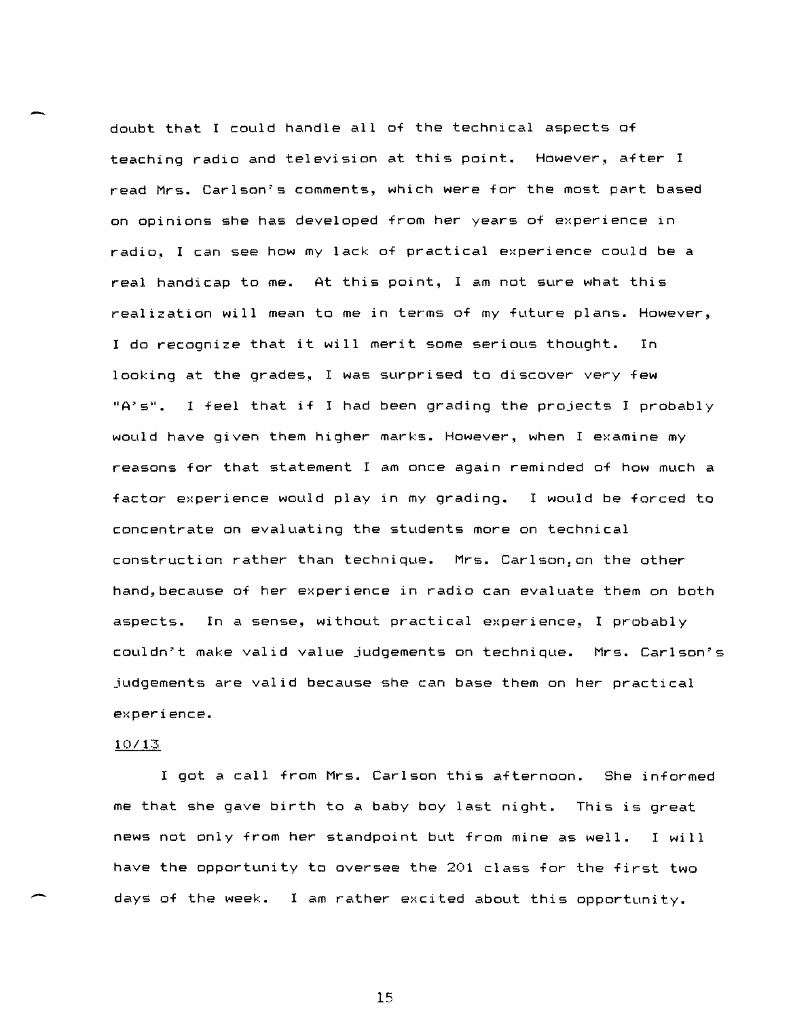doubt that I could handle all of the technical aspects of teaching radio and television at this point. However, after <sup>I</sup> read Mrs. Carlson'S comments, which were for the most part based on opinions she has developed from her years of experience in radio, I can see how my lack of practical experience could be a real handicap to me. At this point, I am not sure what this realization will mean to me in terms of my future plans. However, <sup>I</sup>do recognize that it will merit some serious thought. In looking at the grades, I was surprised to discover very few "A's". I feel that if I had been grading the projects I probably would have given them higher marks. However, when I examine my reasons for that statement I am once again reminded of how much a factor experience would play in my grading. I would be forced to concentrate on evaluating the students more on technical construction rather than technique. Mrs. Carlson,on the other hand, because of her experience in radio can evaluate them on both aspects. In a sense, without practical experience, I probably couldn't make valid value judgements on technique. Mrs. Carlson's judgements are valid because she can base them on her practical experience.

## 10/13

I got a call from Mrs. Carlson this afternoon. She informed me that she gave birth to a baby boy last night. This is great news not only from her standpoint but from mine as well. I will have the opportunity to oversee the 201 class for the first two days of the week. I am rather excited about this opportunity.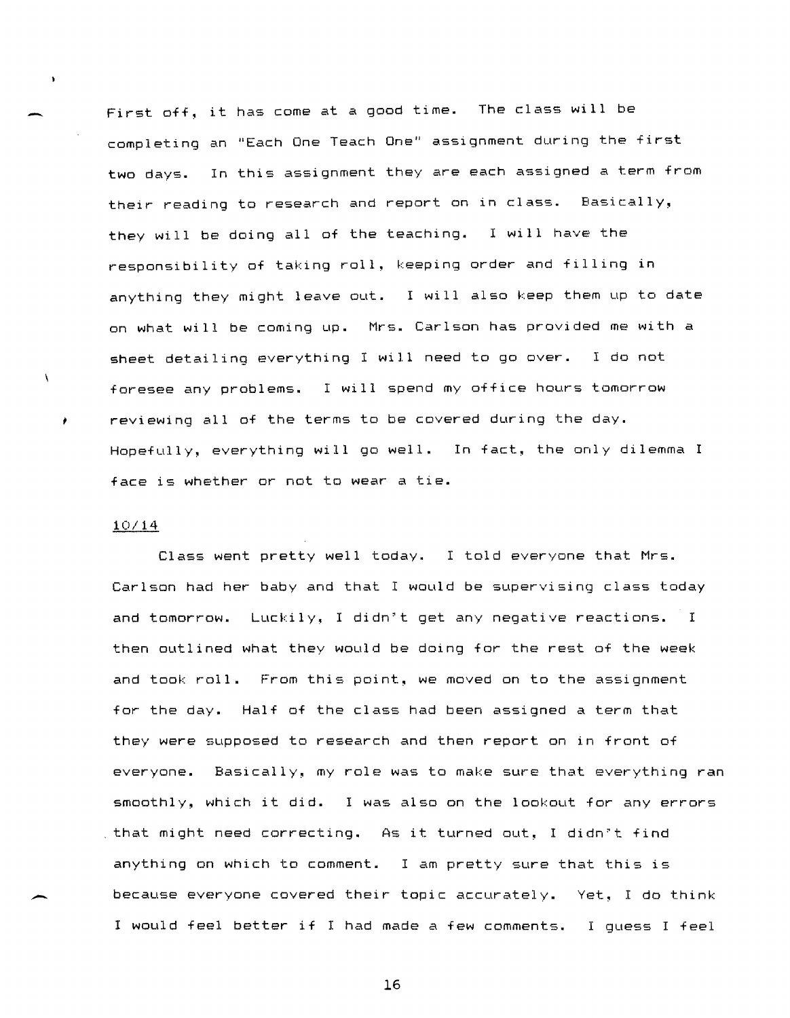First off, it has come at a good time. The class will be completing an "Each One Teach One" assignment during the first two days. In this assignment they are each assigned a term from their reading to research and report on in class. Basically, they will be doing all of the teaching. I will have the responsibility of taking roll, keeping order and filling in anything they might leave out. I will also keep them up to date on what will be coming up. M~s. Ca~lson has p~ovided me with a sheet detailing eve~ything I will need to go ove~. I do not foresee any problems. I will spend my office hours tomorrow reviewing all of the terms to be covered during the day. Hopefully, eve~ything will go well. In fact, the only dilemma I face is whether or not to wear a tie.

### 10/14

 $\ddot{\phantom{a}}$ 

 $\lambda$ 

Class went pretty well today. I told everyone that Mrs. Carlson had her baby and that I would be supervising class today and tomorrow. Luckily, I didn't get any negative reactions. I then outlined what they would be doing for the rest of the week and took roll. From this point, we moved on to the assignment for the day. Half of the class had been assigned a term that they were supposed to research and then report on in front of everyone. Basically, my role was to make sure that everything ran smoothly, which it did. I was also on the lookout for any errors , that might need correcting. As it turned out, I didn't find anything on which to comment. I am pretty sure that this is because everyone covered their topic accurately. Yet, I do think I would feel better if I had made a few comments. I guess I feel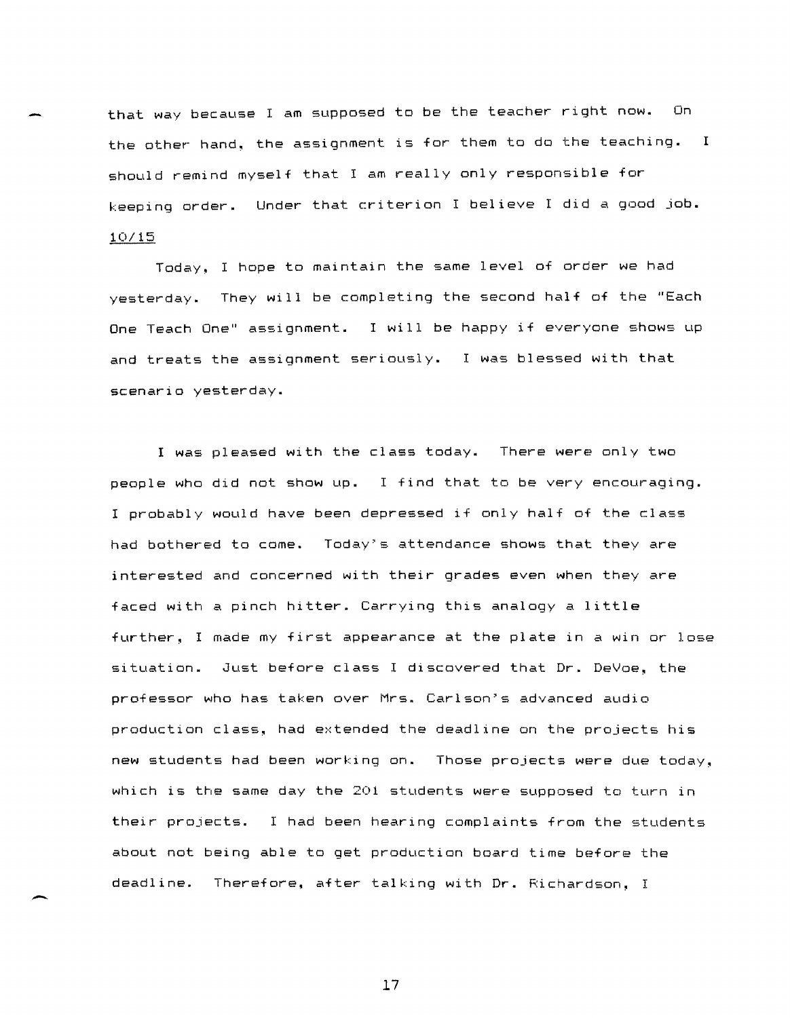that way because I am supposed to be the teacher right now. On the other hand, the assignment is for them to do the teaching. I should remind myself that I am really only responsible for keeping order. Under that criterion I believe I did a good job. 10/15

Today, I hope to maintain the same level of order we had yesterday. They will be completing the second half of the "Each One Teach One" assignment. I will be happy if everyone shows up and treats the assignment seriously. I was blessed with that scenario yesterday.

I was pleased with the class today. There were only two people who did not show up. I find that to be very encouraging. I probably would have been depressed if only half of the class had bothered to come. Today's attendance shows that they are interested and concerned with their grades even when they are faced with a pinch hitter. Carrying this analogy a little further, I made my first appearance at the plate in a win or lose situation. Just before class I discovered that Dr. DeVoe. the professor who has taken over Mrs. Carlson's advanced audio production class, had extended the deadline on the projects his new students had been working on. Those projects were due today, which is the same day the 201 students were supposed to turn in their projects. I had been hearing complaints from the students about not being able to get production board time before the deadline. Therefore, after talking with Dr. Richardson, I

17

-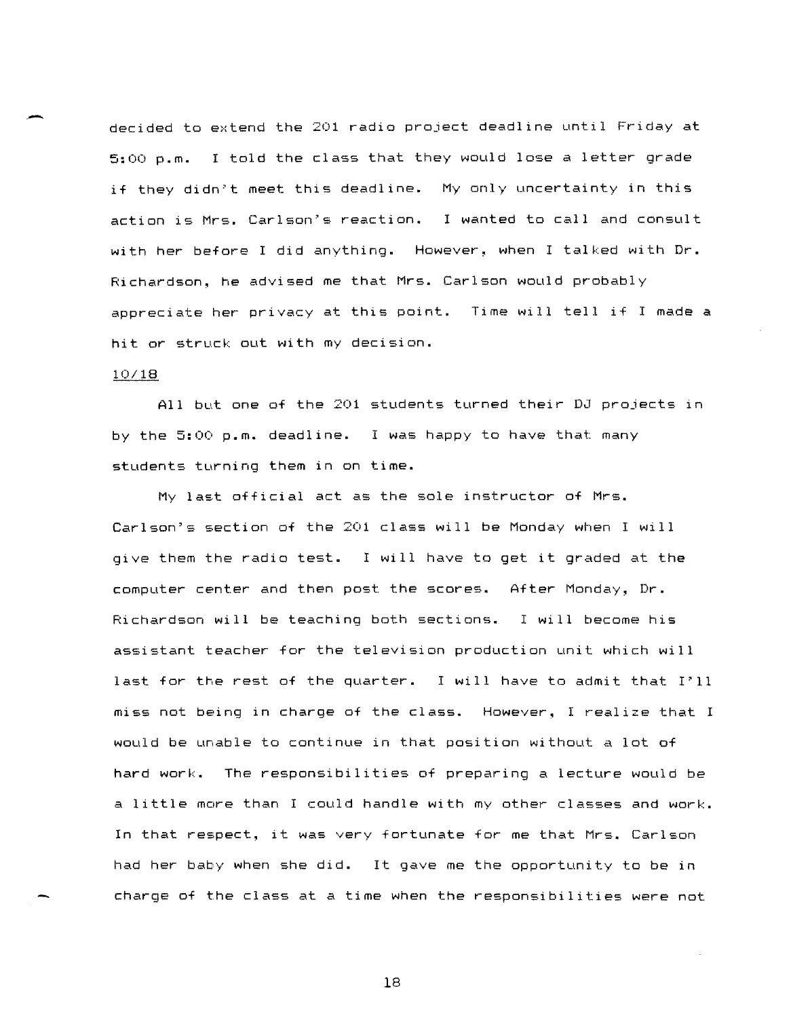.- decided to extend the 201 radio project deadline until Friday at 5:00 p.m. I told the class that they would lose a letter grade if they didn't meet this deadline. My only uncertainty in this action is Mrs. Carlson's reaction. I wanted to call and consult with her before I did anything. However, when I talked with Dr. Richardson~ he advised me that Mrs. Carlson would probably appreciate her privacy at this point. Time will tell if I made a hit or struck out with my decision.

#### 10/18

All but one of the 201 students turned their DJ projects in by the 5:00 p.m. deadline. I was happy to have that many students turning them in on time.

My last official act as the sole instructor of Mrs. Carlson's section of the 201 class will be Monday when I will give them the radio test. I will have to get it graded at the computer center and then post the scores.  $\,$  After Monday, Dr. Richardson will be teaching both sections. I will become his assistant teacher for the television production unit which will last for the rest of the quarter. I will have to admit that I'll miss not being in charge of the class. However~ I realize that I would be unable to continue in that position without a lot of hard work. The responsibilities of preparing a lecture would be a little more than I could handle with my other classes and work. In that respect, it was very fortunate for me that Mrs. Carlson had her baby when she did. It gave me the opportunity to be in charge of the class at a time when the responsibilities were not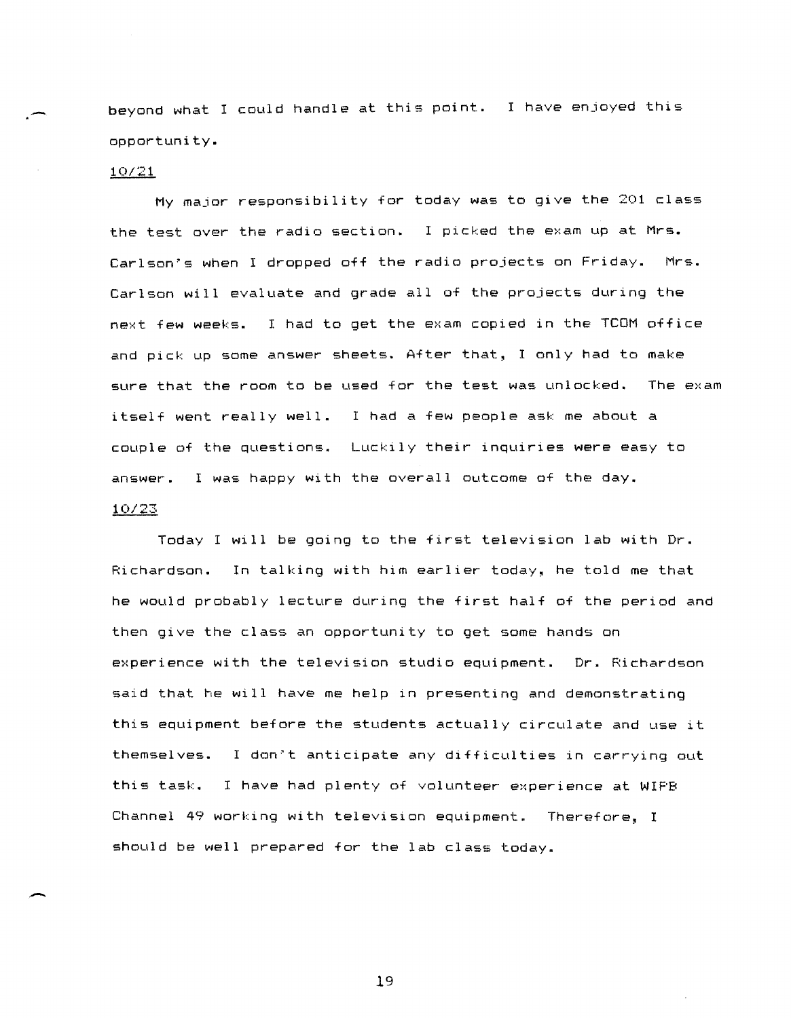beyond what I could handle at this point. I have enjoyed this opportunity.

# *10/21*

My major responsibility for today was to give the 201 class the test over the radio section. I picked the exam up at Mrs. Carlson's when I dropped off the radio projects on Friday. Mrs. Carlson will evaluate and grade all of the projects during the next few weeks. I had to get the exam copied in the TCOM office and pick up some answer sheets. After that, I only had to make sure that the room to be used for the test was unlocked. The exam itself went really well. I had a few people ask me about a couple of the questions. Luckily their inquiries were easy to answer. I was happy with the overall outcome of the day.

#### *10/23*

Today I will be going to the first television lab with Dr. Richardson. In talking with him earlier today~ he told me that he would probably lecture during the first half of the period and then give the class an opportunity to get some hands on experience with the television studio equipment. Dr. Richardson said that he will have me help in presenting and demonstrating this equipment before the students actually circulate and use it themselves. I don"t anticipate any difficulties in carrying out this task. I have had plenty of volunteer experience at WIPB Channel 49 working with television equipment. Therefore, I should be well prepared for the lab class today\_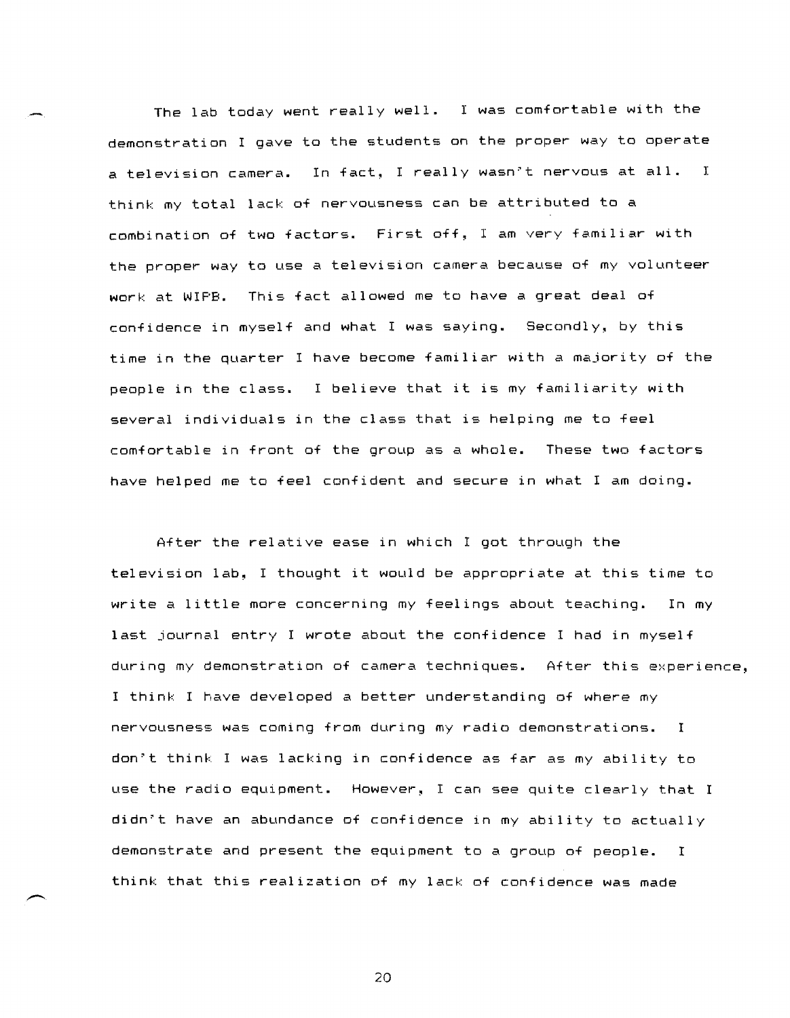The lab today went really well. I was comfortable with the demonstration I gave to the students on the proper way to operate a television camera. In fact, I really wasn't nervous at all. I think my total lack of nervousness can be attributed to a combination of two factors. First off, I am very familiar with the proper way to use a television camera because of my volunteer work at WIPB. This fact allowed me to have a great deal of confidence in myself and what I was saying. Secondly, by this time in the quarter I have become familiar with a majority of the people in the class. I believe that it is my familiarity with several individuals in the class that is helping me to feel comfortable in front of the group as a whole. These two factors have helped me to feel confident and secure in what I am doing.

After the relative ease in which I got through the television lab, I thought it would be appropriate at this time to write a little more concerning my feelings about teaching. In my last journal entry I wrote about the confidence I had in myself during my demonstration of camera techniques. After this experience, I think I have developed a better understanding of where my nervousness was coming from during my radio demonstrations. I don"t think I was lacking in confidence as far as my ability to use the radio equipment. However, I can see quite clearly that I didn"t have an abundance of confidence in my ability to actually demonstrate and present the equipment to a group of people. I think that this realization of my lack of confidence was made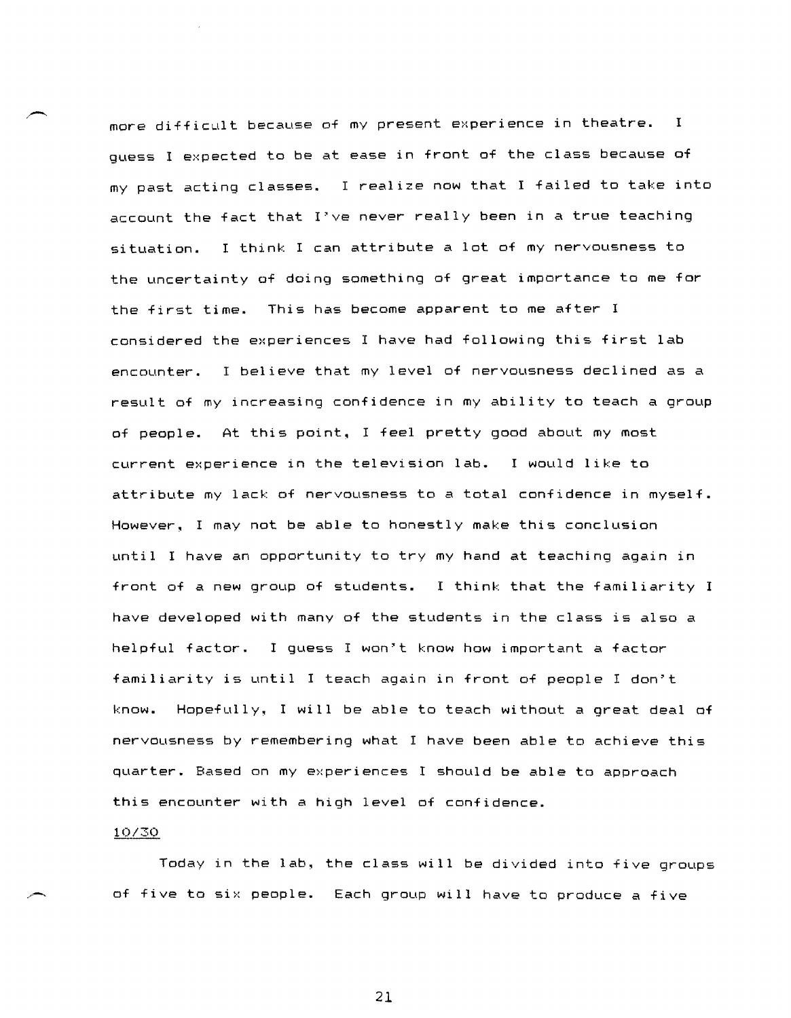more difficult because of my present experience in theatre. <sup>I</sup> guess I expected to be at ease in front of the class because of my past acting classes. I realize now that I failed to take into account the fact that I've never really been in a true teaching situation. I think I can attribute a lot of my nervousness to the uncertainty of doing something of great importance to me for the first time. This has become apparent to me after I considered the experiences I have had following this first lab encounter. I believe that my level of nervousness declined as a result of my increasing confidence in my ability to teach a group of people. At this point, I feel pretty good about my most current experience in the television lab. I would like to attribute my lack of nervousness to a total confidence in myself. However~ I may not be able to honestly make this conclusion until I have an opportunity to try my hand at teaching again in front of a new group of students. I think that the familiarity I have developed with many of the students in the class is also a helpful factor. I guess I won't know how important a factor familiarity is until I teach again in front of people I don't know. Hopefully~ I will be able to teach without a great deal of nervousness by remembering what I have been able to achieve this quarter. Based on my experiences I should be able to approach this encounter with a high level of confidence.

# 10/30

Today in the lab, the class will be divided into five groups of five to six people. Each group will have to produce a five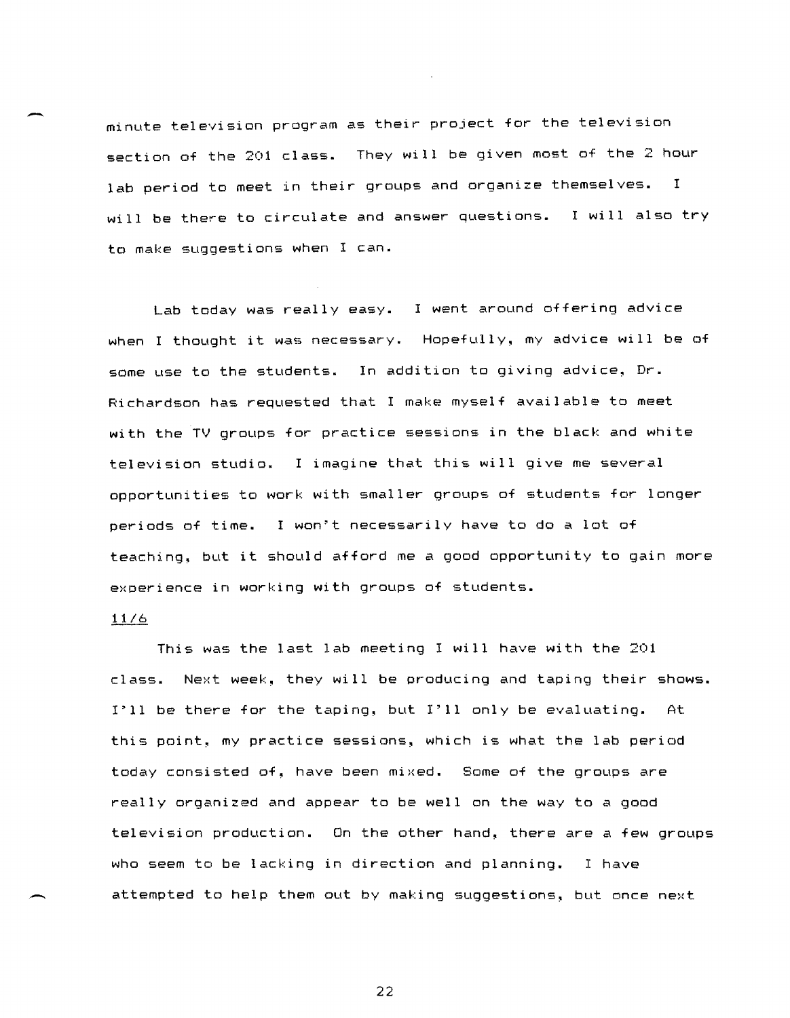minute television program as their project for the television section of the 201 class. They will be given most of the 2 hour lab period to meet in their groups and organize themselves. I will be there to circulate and answer questions. I will also try to make suggestions when I can.

Lab today was really easy. I went around offering advice when I thought it was necessary. Hopefully, my advice will be of some use to the students. In addition to giving advice, Dr. Richardson has requested that I make myself available to meet with the TV groups for practice sessions in the black and white television studio. I imagine that this will give me several opportunities to work with smaller groups of students for longer periods of time. I won't necessarily have to do a lot of teaching, but it should afford me a good opportunity to gain more experience in working with groups of students.

# 11/6

 $\overline{\phantom{0}}$ 

-

This was the last lab meeting I will have with the 201 class. Next week, they will be producing and taping their shows. I'll be there for the taping, but I'll only be evaluating. At this point, my practice sessions, which is what the lab period today consisted of, have been mixed. Some of the groups are really organized and appear to be well on the way to a good television production. On the other hand, there are a few groups who seem to be lacking in direction and planning. I have attempted to help them out by making suggestions, but once next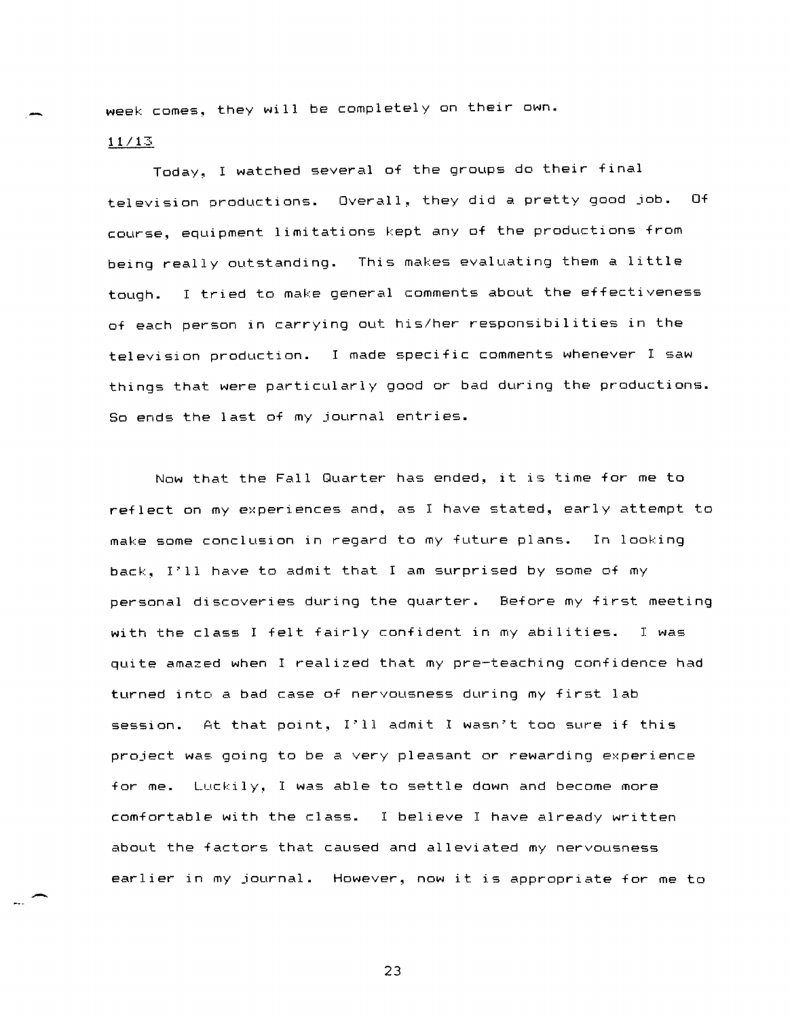week comes, they will be completely on their own.

11/13

Today, I watched several of the groups do their final television productions. Overall, they did a pretty good job. Of course, equipment limitations kept any of the productions from being really outstanding. This makes evaluating them a little tough. I tried to make general comments about the effectiveness of each person in carrying out his/her responsibilities in the television production. I made specific comments whenever I saw things that were particularly good or bad during the productions. So ends the last of my journal entries.

Now that the Fall Quarter has ended~ it is time for me to reflect on my experiences and, as I have stated, early attempt to make some conclusion in regard to my future plans. In looking back, I'll have to admit that I am surprised by some of my personal discoveries during the quarter. Before my first meeting with the class I felt fairly confident in my abilities. I was quite amazed when I realized that my pre-teaching confidence had turned into a bad case of nervousness during my first lab session. At that point. I'll admit I wasn't too sure if this project was going to be a very pleasant or rewarding experience for me. Luckily, I was able to settle down and become more comfortable with the class. I believe I have already written about the factors that caused and alleviated my nervousness earlier in my journal. However, now it is appropriate for me to